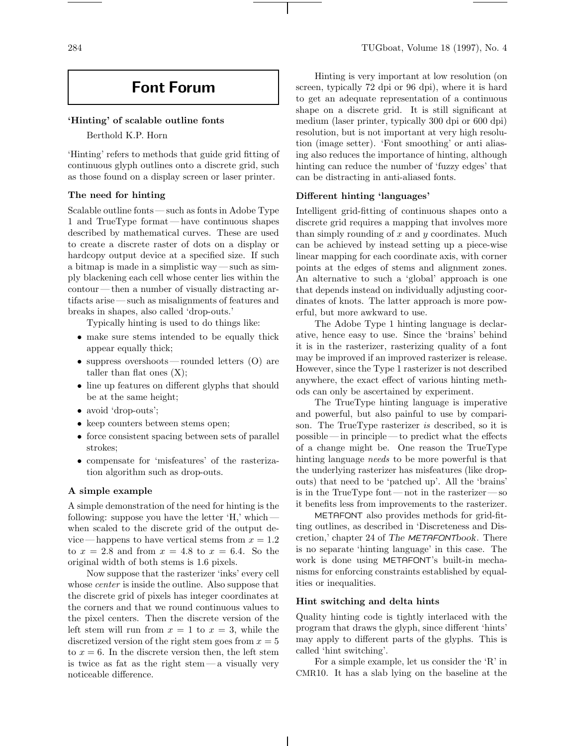#### **'Hinting' of scalable outline fonts**

Berthold K.P. Horn

'Hinting' refers to methods that guide grid fitting of continuous glyph outlines onto a discrete grid, such as those found on a display screen or laser printer.

# **The need for hinting**

Scalable outline fonts— such as fonts in Adobe Type 1 and TrueType format— have continuous shapes described by mathematical curves. These are used to create a discrete raster of dots on a display or hardcopy output device at a specified size. If such a bitmap is made in a simplistic way— such as simply blackening each cell whose center lies within the contour— then a number of visually distracting artifacts arise—such as misalignments of features and breaks in shapes, also called 'drop-outs.'

Typically hinting is used to do things like:

- make sure stems intended to be equally thick appear equally thick;
- suppress overshoots—rounded letters (O) are taller than flat ones  $(X)$ ;
- line up features on different glyphs that should be at the same height;
- avoid 'drop-outs';
- keep counters between stems open;
- force consistent spacing between sets of parallel strokes;
- compensate for 'misfeatures' of the rasterization algorithm such as drop-outs.

# **A simple example**

A simple demonstration of the need for hinting is the following: suppose you have the letter 'H,' which when scaled to the discrete grid of the output device—happens to have vertical stems from  $x = 1.2$ to  $x = 2.8$  and from  $x = 4.8$  to  $x = 6.4$ . So the original width of both stems is 1.6 pixels.

Now suppose that the rasterizer 'inks' every cell whose *center* is inside the outline. Also suppose that the discrete grid of pixels has integer coordinates at the corners and that we round continuous values to the pixel centers. Then the discrete version of the left stem will run from  $x = 1$  to  $x = 3$ , while the discretized version of the right stem goes from  $x = 5$ to  $x = 6$ . In the discrete version then, the left stem is twice as fat as the right stem— a visually very noticeable difference.

Hinting is very important at low resolution (on screen, typically 72 dpi or 96 dpi), where it is hard to get an adequate representation of a continuous shape on a discrete grid. It is still significant at medium (laser printer, typically 300 dpi or 600 dpi) resolution, but is not important at very high resolution (image setter). 'Font smoothing' or anti aliasing also reduces the importance of hinting, although hinting can reduce the number of 'fuzzy edges' that can be distracting in anti-aliased fonts.

## **Different hinting 'languages'**

Intelligent grid-fitting of continuous shapes onto a discrete grid requires a mapping that involves more than simply rounding of  $x$  and  $y$  coordinates. Much can be achieved by instead setting up a piece-wise linear mapping for each coordinate axis, with corner points at the edges of stems and alignment zones. An alternative to such a 'global' approach is one that depends instead on individually adjusting coordinates of knots. The latter approach is more powerful, but more awkward to use.

The Adobe Type 1 hinting language is declarative, hence easy to use. Since the 'brains' behind it is in the rasterizer, rasterizing quality of a font may be improved if an improved rasterizer is release. However, since the Type 1 rasterizer is not described anywhere, the exact effect of various hinting methods can only be ascertained by experiment.

The TrueType hinting language is imperative and powerful, but also painful to use by comparison. The TrueType rasterizer is described, so it is possible— in principle— to predict what the effects of a change might be. One reason the TrueType hinting language *needs* to be more powerful is that the underlying rasterizer has misfeatures (like dropouts) that need to be 'patched up'. All the 'brains' is in the TrueType font— not in the rasterizer— so it benefits less from improvements to the rasterizer.

METAFONT also provides methods for grid-fitting outlines, as described in 'Discreteness and Discretion,' chapter 24 of *The* METAFONT*book*. There is no separate 'hinting language' in this case. The work is done using METAFONT's built-in mechanisms for enforcing constraints established by equalities or inequalities.

## **Hint switching and delta hints**

Quality hinting code is tightly interlaced with the program that draws the glyph, since different 'hints' may apply to different parts of the glyphs. This is called 'hint switching'.

For a simple example, let us consider the 'R' in CMR10. It has a slab lying on the baseline at the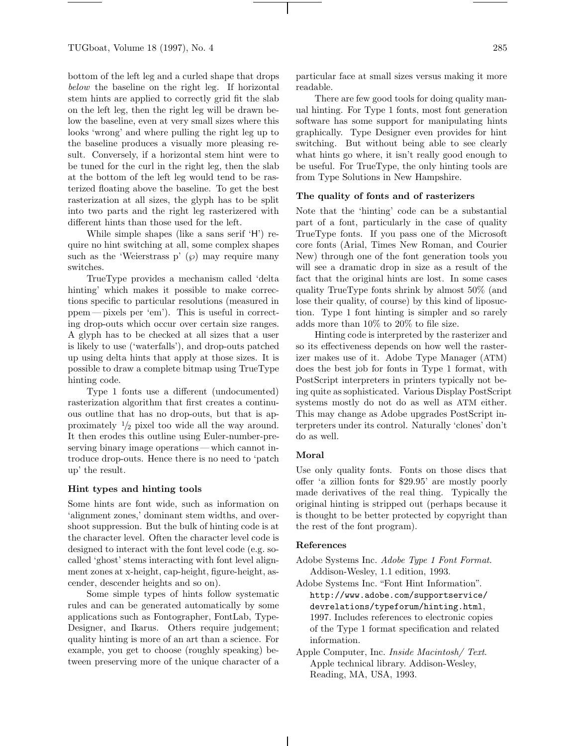bottom of the left leg and a curled shape that drops below the baseline on the right leg. If horizontal stem hints are applied to correctly grid fit the slab on the left leg, then the right leg will be drawn below the baseline, even at very small sizes where this looks 'wrong' and where pulling the right leg up to the baseline produces a visually more pleasing result. Conversely, if a horizontal stem hint were to be tuned for the curl in the right leg, then the slab at the bottom of the left leg would tend to be rasterized floating above the baseline. To get the best rasterization at all sizes, the glyph has to be split into two parts and the right leg rasterizered with different hints than those used for the left.

While simple shapes (like a sans serif 'H') require no hint switching at all, some complex shapes such as the 'Weierstrass p'  $(\wp)$  may require many switches.

TrueType provides a mechanism called 'delta hinting' which makes it possible to make corrections specific to particular resolutions (measured in ppem— pixels per 'em'). This is useful in correcting drop-outs which occur over certain size ranges. A glyph has to be checked at all sizes that a user is likely to use ('waterfalls'), and drop-outs patched up using delta hints that apply at those sizes. It is possible to draw a complete bitmap using TrueType hinting code.

Type 1 fonts use a different (undocumented) rasterization algorithm that first creates a continuous outline that has no drop-outs, but that is approximately  $\frac{1}{2}$  pixel too wide all the way around. It then erodes this outline using Euler-number-preserving binary image operations— which cannot introduce drop-outs. Hence there is no need to 'patch up' the result.

#### **Hint types and hinting tools**

Some hints are font wide, such as information on 'alignment zones,' dominant stem widths, and overshoot suppression. But the bulk of hinting code is at the character level. Often the character level code is designed to interact with the font level code (e.g. socalled 'ghost' stems interacting with font level alignment zones at x-height, cap-height, figure-height, ascender, descender heights and so on).

Some simple types of hints follow systematic rules and can be generated automatically by some applications such as Fontographer, FontLab, Type-Designer, and Ikarus. Others require judgement; quality hinting is more of an art than a science. For example, you get to choose (roughly speaking) between preserving more of the unique character of a

particular face at small sizes versus making it more readable.

There are few good tools for doing quality manual hinting. For Type 1 fonts, most font generation software has some support for manipulating hints graphically. Type Designer even provides for hint switching. But without being able to see clearly what hints go where, it isn't really good enough to be useful. For TrueType, the only hinting tools are from Type Solutions in New Hampshire.

## **The quality of fonts and of rasterizers**

Note that the 'hinting' code can be a substantial part of a font, particularly in the case of quality TrueType fonts. If you pass one of the Microsoft core fonts (Arial, Times New Roman, and Courier New) through one of the font generation tools you will see a dramatic drop in size as a result of the fact that the original hints are lost. In some cases quality TrueType fonts shrink by almost 50% (and lose their quality, of course) by this kind of liposuction. Type 1 font hinting is simpler and so rarely adds more than 10% to 20% to file size.

Hinting code is interpreted by the rasterizer and so its effectiveness depends on how well the rasterizer makes use of it. Adobe Type Manager (ATM) does the best job for fonts in Type 1 format, with PostScript interpreters in printers typically not being quite as sophisticated. Various Display PostScript systems mostly do not do as well as ATM either. This may change as Adobe upgrades PostScript interpreters under its control. Naturally 'clones' don't do as well.

## **Moral**

Use only quality fonts. Fonts on those discs that offer 'a zillion fonts for \$29.95' are mostly poorly made derivatives of the real thing. Typically the original hinting is stripped out (perhaps because it is thought to be better protected by copyright than the rest of the font program).

# **References**

- Adobe Systems Inc. Adobe Type 1 Font Format. Addison-Wesley, 1.1 edition, 1993.
- Adobe Systems Inc. "Font Hint Information". http://www.adobe.com/supportservice/ devrelations/typeforum/hinting.html, 1997. Includes references to electronic copies of the Type 1 format specification and related information.
- Apple Computer, Inc. Inside Macintosh/ Text. Apple technical library. Addison-Wesley, Reading, MA, USA, 1993.